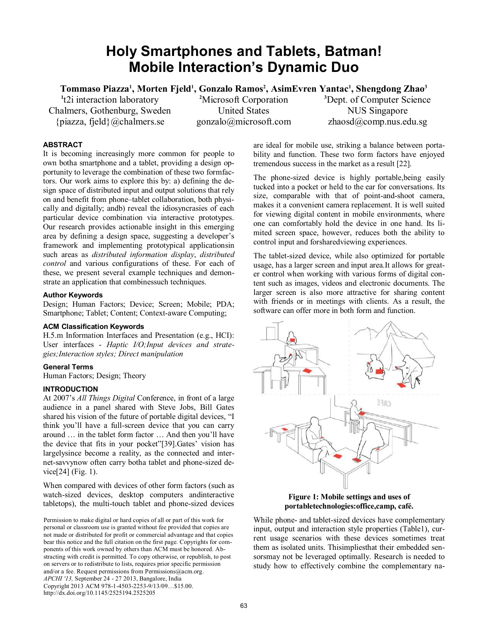# **Holy Smartphones and Tablets, Batman! Mobile Interaction's Dynamic Duo**

**Tommaso Piazza<sup>1</sup> , Morten Fjeld<sup>1</sup> , Gonzalo Ramos<sup>2</sup> , AsimEvren Yantac<sup>1</sup> , Shengdong Zhao<sup>3</sup>**

**1** t2i interaction laboratory Chalmers, Gothenburg, Sweden {piazza, fjeld}@chalmers.se

**<sup>2</sup>**Microsoft Corporation United States gonzalo@microsoft.com **<sup>3</sup>**Dept. of Computer Science NUS Singapore zhaosd@comp.nus.edu.sg

# **ABSTRACT**

It is becoming increasingly more common for people to own botha smartphone and a tablet, providing a design opportunity to leverage the combination of these two formfactors. Our work aims to explore this by: a) defining the design space of distributed input and output solutions that rely on and benefit from phone–tablet collaboration, both physically and digitally; andb) reveal the idiosyncrasies of each particular device combination via interactive prototypes. Our research provides actionable insight in this emerging area by defining a design space, suggesting a developer's framework and implementing prototypical applicationsin such areas as *distributed information display*, *distributed control* and various configurations of these. For each of these, we present several example techniques and demonstrate an application that combinessuch techniques.

# **Author Keywords**

Design; Human Factors; Device; Screen; Mobile; PDA; Smartphone; Tablet; Content; Context-aware Computing;

# **ACM Classification Keywords**

H.5.m Information Interfaces and Presentation (e.g., HCI): User interfaces - *Haptic I/O;Input devices and strategies;Interaction styles; Direct manipulation*

## **General Terms**

Human Factors; Design; Theory

# **INTRODUCTION**

At 2007's *All Things Digital* Conference, in front of a large audience in a panel shared with Steve Jobs, Bill Gates shared his vision of the future of portable digital devices, "I think you'll have a full-screen device that you can carry around … in the tablet form factor … And then you'll have the device that fits in your pocket"[39].Gates' vision has largelysince become a reality, as the connected and internet-savvynow often carry botha tablet and phone-sized device[24] (Fig. 1).

When compared with devices of other form factors (such as watch-sized devices, desktop computers andinteractive tabletops), the multi-touch tablet and phone-sized devices

Permission to make digital or hard copies of all or part of this work for personal or classroom use is granted without fee provided that copies are not made or distributed for profit or commercial advantage and that copies bear this notice and the full citation on the first page. Copyrights for components of this work owned by others than ACM must be honored. Abstracting with credit is permitted. To copy otherwise, or republish, to post on servers or to redistribute to lists, requires prior specific permission and/or a fee. Request permissions from Permissions@acm.org. *APCHI '13,* September 24 - 27 2013, Bangalore, India Copyright 2013 ACM 978-1-4503-2253-9/13/09…\$15.00. http://dx.doi.org/10.1145/2525194.2525205

are ideal for mobile use, striking a balance between portability and function. These two form factors have enjoyed tremendous success in the market as a result [22].

The phone-sized device is highly portable,being easily tucked into a pocket or held to the ear for conversations. Its size, comparable with that of point-and-shoot camera, makes it a convenient camera replacement. It is well suited for viewing digital content in mobile environments, where one can comfortably hold the device in one hand. Its limited screen space, however, reduces both the ability to control input and forsharedviewing experiences.

The tablet-sized device, while also optimized for portable usage, has a larger screen and input area.It allows for greater control when working with various forms of digital content such as images, videos and electronic documents. The larger screen is also more attractive for sharing content with friends or in meetings with clients. As a result, the software can offer more in both form and function.





While phone- and tablet-sized devices have complementary input, output and interaction style properties (Table1), current usage scenarios with these devices sometimes treat them as isolated units. Thisimpliesthat their embedded sensorsmay not be leveraged optimally. Research is needed to study how to effectively combine the complementary na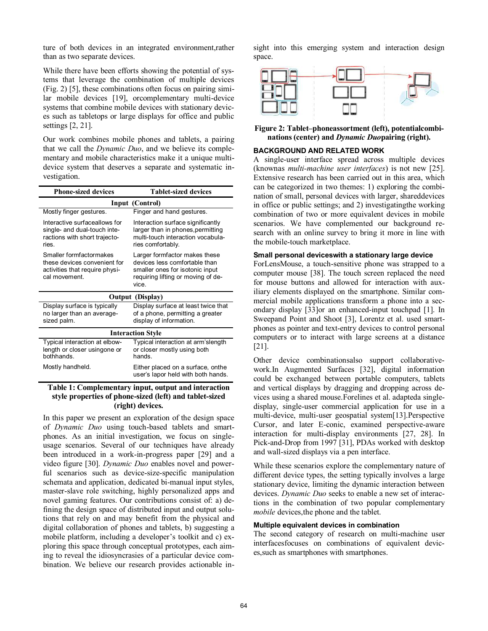ture of both devices in an integrated environment,rather than as two separate devices.

While there have been efforts showing the potential of systems that leverage the combination of multiple devices (Fig. 2) [5], these combinations often focus on pairing similar mobile devices [19], orcomplementary multi-device systems that combine mobile devices with stationary devices such as tabletops or large displays for office and public settings [2, 21].

Our work combines mobile phones and tablets, a pairing that we call the *Dynamic Duo*, and we believe its complementary and mobile characteristics make it a unique multidevice system that deserves a separate and systematic investigation.

| <b>Phone-sized devices</b>                                                                                 | <b>Tablet-sized devices</b>                                                                                                                      |
|------------------------------------------------------------------------------------------------------------|--------------------------------------------------------------------------------------------------------------------------------------------------|
| Input (Control)                                                                                            |                                                                                                                                                  |
| Mostly finger gestures.                                                                                    | Finger and hand gestures.                                                                                                                        |
| Interactive surfaceallows for<br>single- and dual-touch inte-<br>ractions with short trajecto-<br>ries.    | Interaction surface significantly<br>larger than in phones, permitting<br>multi-touch interaction vocabula-<br>ries comfortably.                 |
| Smaller formfactormakes<br>these devices convenient for<br>activities that require physi-<br>cal movement. | Larger formfactor makes these<br>devices less comfortable than<br>smaller ones for isotonic input<br>requiring lifting or moving of de-<br>vice. |
| Output (Display)                                                                                           |                                                                                                                                                  |
| Display surface is typically<br>no larger than an average-<br>sized palm.                                  | Display surface at least twice that<br>of a phone, permitting a greater<br>display of information.                                               |
| <b>Interaction Style</b>                                                                                   |                                                                                                                                                  |
| Typical interaction at elbow-<br>length or closer usingone or<br>bothhands.                                | Typical interaction at arm'slength<br>or closer mostly using both<br>hands                                                                       |
| Mostly handheld.                                                                                           | Either placed on a surface, onthe<br>user's lapor held with both hands.                                                                          |
| .                                                                                                          | $\bullet$<br>.                                                                                                                                   |

## **Table 1: Complementary input, output and interaction style properties of phone-sized (left) and tablet-sized (right) devices.**

In this paper we present an exploration of the design space of *Dynamic Duo* using touch-based tablets and smartphones. As an initial investigation, we focus on singleusage scenarios. Several of our techniques have already been introduced in a work-in-progress paper [29] and a video figure [30]. *Dynamic Duo* enables novel and powerful scenarios such as device-size-specific manipulation schemata and application, dedicated bi-manual input styles, master-slave role switching, highly personalized apps and novel gaming features. Our contributions consist of: a) defining the design space of distributed input and output solutions that rely on and may benefit from the physical and digital collaboration of phones and tablets, b) suggesting a mobile platform, including a developer's toolkit and c) exploring this space through conceptual prototypes, each aiming to reveal the idiosyncrasies of a particular device combination. We believe our research provides actionable insight into this emerging system and interaction design space.



**Figure 2: Tablet–phoneassortment (left), potentialcombinations (center) and** *Dynamic Duo***pairing (right).**

## **BACKGROUND AND RELATED WORK**

A single-user interface spread across multiple devices (knownas *multi-machine user interfaces*) is not new [25]. Extensive research has been carried out in this area, which can be categorized in two themes: 1) exploring the combination of small, personal devices with larger, shareddevices in office or public settings; and 2) investigatingthe working combination of two or more equivalent devices in mobile scenarios. We have complemented our background research with an online survey to bring it more in line with the mobile-touch marketplace.

## **Small personal deviceswith a stationary large device**

ForLensMouse, a touch-sensitive phone was strapped to a computer mouse [38]. The touch screen replaced the need for mouse buttons and allowed for interaction with auxiliary elements displayed on the smartphone. Similar commercial mobile applications transform a phone into a secondary display [33]or an enhanced-input touchpad [1]. In Sweepand Point and Shoot [3], Lorentz et al. used smartphones as pointer and text-entry devices to control personal computers or to interact with large screens at a distance [21].

Other device combinationsalso support collaborativework.In Augmented Surfaces [32], digital information could be exchanged between portable computers, tablets and vertical displays by dragging and dropping across devices using a shared mouse.Forelines et al. adapteda singledisplay, single-user commercial application for use in a multi-device, multi-user geospatial system[13].Perspective Cursor, and later E-conic, examined perspective-aware interaction for multi-display environments [27, 28]. In Pick-and-Drop from 1997 [31], PDAs worked with desktop and wall-sized displays via a pen interface.

While these scenarios explore the complementary nature of different device types, the setting typically involves a large stationary device, limiting the dynamic interaction between devices. *Dynamic Duo* seeks to enable a new set of interactions in the combination of two popular complementary *mobile* devices,the phone and the tablet.

## **Multiple equivalent devices in combination**

The second category of research on multi-machine user interfacesfocuses on combinations of equivalent devices,such as smartphones with smartphones.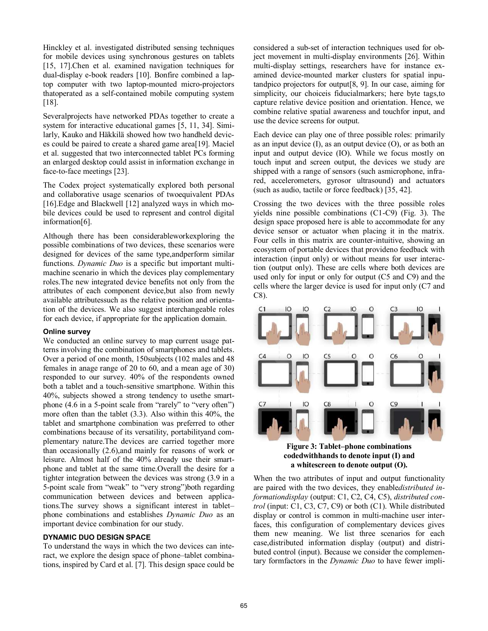Hinckley et al. investigated distributed sensing techniques for mobile devices using synchronous gestures on tablets [15, 17].Chen et al. examined navigation techniques for dual-display e-book readers [10]. Bonfire combined a laptop computer with two laptop-mounted micro-projectors thatoperated as a self-contained mobile computing system [18].

Severalprojects have networked PDAs together to create a system for interactive educational games [5, 11, 34]. Similarly, Kauko and Häkkilä showed how two handheld devices could be paired to create a shared game area[19]. Maciel et al. suggested that two interconnected tablet PCs forming an enlarged desktop could assist in information exchange in face-to-face meetings [23].

The Codex project systematically explored both personal and collaborative usage scenarios of twoequivalent PDAs [16]. Edge and Blackwell [12] analyzed ways in which mobile devices could be used to represent and control digital information[6].

Although there has been considerableworkexploring the possible combinations of two devices, these scenarios were designed for devices of the same type,andperform similar functions. *Dynamic Duo* is a specific but important multimachine scenario in which the devices play complementary roles.The new integrated device benefits not only from the attributes of each component device,but also from newly available attributessuch as the relative position and orientation of the devices. We also suggest interchangeable roles for each device, if appropriate for the application domain.

#### **Online survey**

We conducted an online survey to map current usage patterns involving the combination of smartphones and tablets. Over a period of one month, 150subjects (102 males and 48 females in anage range of 20 to 60, and a mean age of 30) responded to our survey. 40% of the respondents owned both a tablet and a touch-sensitive smartphone. Within this 40%, subjects showed a strong tendency to usethe smartphone  $(4.6 \text{ in a 5-point scale from "rarely" to "very often")}$ more often than the tablet (3.3). Also within this 40%, the tablet and smartphone combination was preferred to other combinations because of its versatility, portabilityand complementary nature.The devices are carried together more than occasionally (2.6),and mainly for reasons of work or leisure. Almost half of the 40% already use their smartphone and tablet at the same time.Overall the desire for a tighter integration between the devices was strong (3.9 in a 5-point scale from "weak" to "very strong")both regarding communication between devices and between applications.The survey shows a significant interest in tablet– phone combinations and establishes *Dynamic Duo* as an important device combination for our study.

## **DYNAMIC DUO DESIGN SPACE**

To understand the ways in which the two devices can interact, we explore the design space of phone–tablet combinations, inspired by Card et al. [7]. This design space could be considered a sub-set of interaction techniques used for object movement in multi-display environments [26]. Within multi-display settings, researchers have for instance examined device-mounted marker clusters for spatial inputandpico projectors for output[8, 9]. In our case, aiming for simplicity, our choiceis fiducialmarkers; here byte tags,to capture relative device position and orientation. Hence, we combine relative spatial awareness and touchfor input, and use the device screens for output.

Each device can play one of three possible roles: primarily as an input device  $(I)$ , as an output device  $(O)$ , or as both an input and output device (IO). While we focus mostly on touch input and screen output, the devices we study are shipped with a range of sensors (such asmicrophone, infrared, accelerometers, gyrosor ultrasound) and actuators (such as audio, tactile or force feedback) [35, 42].

Crossing the two devices with the three possible roles yields nine possible combinations (C1-C9) (Fig. 3). The design space proposed here is able to accommodate for any device sensor or actuator when placing it in the matrix. Four cells in this matrix are counter-intuitive, showing an ecosystem of portable devices that provideno feedback with interaction (input only) or without means for user interaction (output only). These are cells where both devices are used only for input or only for output (C5 and C9) and the cells where the larger device is used for input only (C7 and C8).



**Figure 3: Tablet–phone combinations codedwithhands to denote input (I) and a whitescreen to denote output (O).** 

When the two attributes of input and output functionality are paired with the two devices, they enable*distributed informationdisplay* (output: C1, C2, C4, C5), *distributed control* (input: C1, C3, C7, C9) or both (C1). While distributed display or control is common in multi-machine user interfaces, this configuration of complementary devices gives them new meaning. We list three scenarios for each case,distributed information display (output) and distributed control (input). Because we consider the complementary formfactors in the *Dynamic Duo* to have fewer impli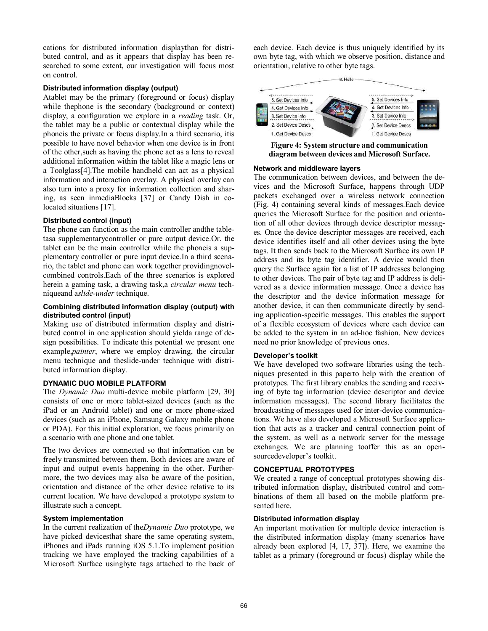cations for distributed information displaythan for distributed control, and as it appears that display has been researched to some extent, our investigation will focus most on control.

## **Distributed information display (output)**

Atablet may be the primary (foreground or focus) display while thephone is the secondary (background or context) display, a configuration we explore in a *reading* task. Or, the tablet may be a public or contextual display while the phoneis the private or focus display.In a third scenario, itis possible to have novel behavior when one device is in front of the other,such as having the phone act as a lens to reveal additional information within the tablet like a magic lens or a Toolglass[4].The mobile handheld can act as a physical information and interaction overlay. A physical overlay can also turn into a proxy for information collection and sharing, as seen inmediaBlocks [37] or Candy Dish in colocated situations [17].

#### **Distributed control (input)**

The phone can function as the main controller andthe tabletasa supplementarycontroller or pure output device.Or, the tablet can be the main controller while the phoneis a supplementary controller or pure input device.In a third scenario, the tablet and phone can work together providingnovelcombined controls.Each of the three scenarios is explored herein a gaming task, a drawing task,a *circular menu* techniqueand a*slide-under* technique.

## **Combining distributed information display (output) with distributed control (input)**

Making use of distributed information display and distributed control in one application should yielda range of design possibilities. To indicate this potential we present one example,*painter*, where we employ drawing, the circular menu technique and theslide-under technique with distributed information display.

#### **DYNAMIC DUO MOBILE PLATFORM**

The *Dynamic Duo* multi-device mobile platform [29, 30] consists of one or more tablet-sized devices (such as the iPad or an Android tablet) and one or more phone-sized devices (such as an iPhone, Samsung Galaxy mobile phone or PDA). For this initial exploration, we focus primarily on a scenario with one phone and one tablet.

The two devices are connected so that information can be freely transmitted between them. Both devices are aware of input and output events happening in the other. Furthermore, the two devices may also be aware of the position, orientation and distance of the other device relative to its current location. We have developed a prototype system to illustrate such a concept.

#### **System implementation**

In the current realization of the*Dynamic Duo* prototype, we have picked devicesthat share the same operating system, iPhones and iPads running iOS 5.1.To implement position tracking we have employed the tracking capabilities of a Microsoft Surface usingbyte tags attached to the back of each device. Each device is thus uniquely identified by its own byte tag, with which we observe position, distance and orientation, relative to other byte tags.



**Figure 4: System structure and communication diagram between devices and Microsoft Surface.**

#### **Network and middleware layers**

The communication between devices, and between the devices and the Microsoft Surface, happens through UDP packets exchanged over a wireless network connection (Fig. 4) containing several kinds of messages.Each device queries the Microsoft Surface for the position and orientation of all other devices through device descriptor messages. Once the device descriptor messages are received, each device identifies itself and all other devices using the byte tags. It then sends back to the Microsoft Surface its own IP address and its byte tag identifier. A device would then query the Surface again for a list of IP addresses belonging to other devices. The pair of byte tag and IP address is delivered as a device information message. Once a device has the descriptor and the device information message for another device, it can then communicate directly by sending application-specific messages. This enables the support of a flexible ecosystem of devices where each device can be added to the system in an ad-hoc fashion. New devices need no prior knowledge of previous ones.

#### **Developer's toolkit**

We have developed two software libraries using the techniques presented in this paperto help with the creation of prototypes. The first library enables the sending and receiving of byte tag information (device descriptor and device information messages). The second library facilitates the broadcasting of messages used for inter-device communications. We have also developed a Microsoft Surface application that acts as a tracker and central connection point of the system, as well as a network server for the message exchanges. We are planning tooffer this as an opensourcedeveloper's toolkit.

## **CONCEPTUAL PROTOTYPES**

We created a range of conceptual prototypes showing distributed information display, distributed control and combinations of them all based on the mobile platform presented here.

#### **Distributed information display**

An important motivation for multiple device interaction is the distributed information display (many scenarios have already been explored [4, 17, 37]). Here, we examine the tablet as a primary (foreground or focus) display while the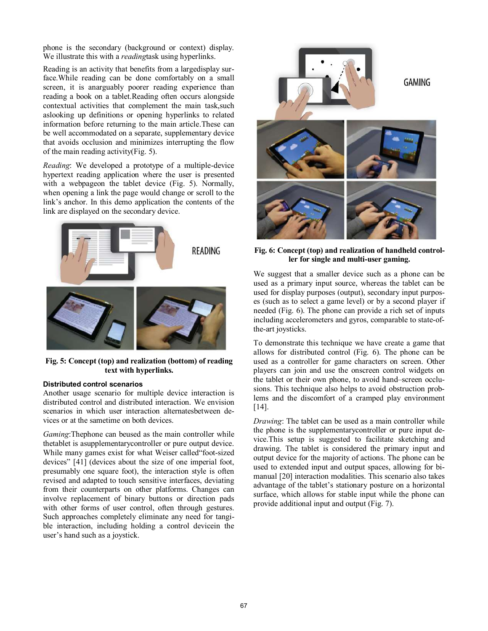phone is the secondary (background or context) display. We illustrate this with a *reading*task using hyperlinks.

Reading is an activity that benefits from a largedisplay surface.While reading can be done comfortably on a small screen, it is anarguably poorer reading experience than reading a book on a tablet.Reading often occurs alongside contextual activities that complement the main task,such aslooking up definitions or opening hyperlinks to related information before returning to the main article.These can be well accommodated on a separate, supplementary device that avoids occlusion and minimizes interrupting the flow of the main reading activity(Fig. 5).

*Reading*: We developed a prototype of a multiple-device hypertext reading application where the user is presented with a webpageon the tablet device (Fig. 5). Normally, when opening a link the page would change or scroll to the link's anchor. In this demo application the contents of the link are displayed on the secondary device.



**Fig. 5: Concept (top) and realization (bottom) of reading text with hyperlinks.** 

#### **Distributed control scenarios**

Another usage scenario for multiple device interaction is distributed control and distributed interaction. We envision scenarios in which user interaction alternatesbetween devices or at the sametime on both devices.

*Gaming*:Thephone can beused as the main controller while thetablet is asupplementarycontroller or pure output device. While many games exist for what Weiser called "foot-sized" devices" [41] (devices about the size of one imperial foot, presumably one square foot), the interaction style is often revised and adapted to touch sensitive interfaces, deviating from their counterparts on other platforms. Changes can involve replacement of binary buttons or direction pads with other forms of user control, often through gestures. Such approaches completely eliminate any need for tangible interaction, including holding a control devicein the user's hand such as a joystick.



**Fig. 6: Concept (top) and realization of handheld controller for single and multi-user gaming.**

We suggest that a smaller device such as a phone can be used as a primary input source, whereas the tablet can be used for display purposes (output), secondary input purposes (such as to select a game level) or by a second player if needed (Fig. 6). The phone can provide a rich set of inputs including accelerometers and gyros, comparable to state-ofthe-art joysticks.

To demonstrate this technique we have create a game that allows for distributed control (Fig. 6). The phone can be used as a controller for game characters on screen. Other players can join and use the onscreen control widgets on the tablet or their own phone, to avoid hand–screen occlusions. This technique also helps to avoid obstruction problems and the discomfort of a cramped play environment [14].

*Drawing*: The tablet can be used as a main controller while the phone is the supplementarycontroller or pure input device.This setup is suggested to facilitate sketching and drawing. The tablet is considered the primary input and output device for the majority of actions. The phone can be used to extended input and output spaces, allowing for bimanual [20] interaction modalities. This scenario also takes advantage of the tablet's stationary posture on a horizontal surface, which allows for stable input while the phone can provide additional input and output (Fig. 7).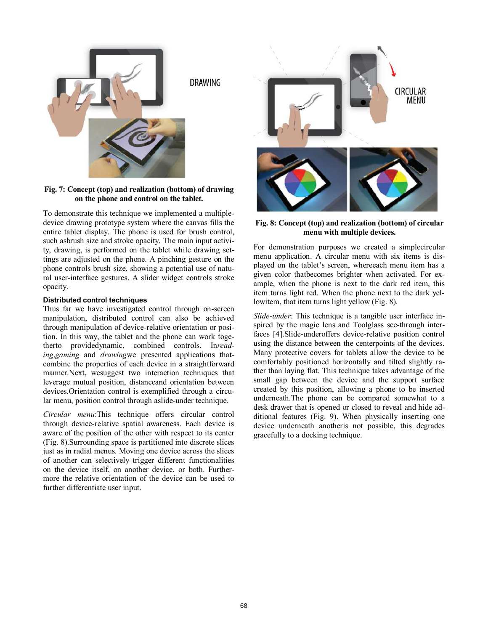

**Fig. 7: Concept (top) and realization (bottom) of drawing on the phone and control on the tablet.** 

To demonstrate this technique we implemented a multipledevice drawing prototype system where the canvas fills the entire tablet display. The phone is used for brush control, such asbrush size and stroke opacity. The main input activity, drawing, is performed on the tablet while drawing settings are adjusted on the phone. A pinching gesture on the phone controls brush size, showing a potential use of natural user-interface gestures. A slider widget controls stroke opacity.

## **Distributed control techniques**

Thus far we have investigated control through on-screen manipulation, distributed control can also be achieved through manipulation of device-relative orientation or position. In this way, the tablet and the phone can work togetherto providedynamic, combined controls. In*reading*,*gaming* and *drawing*we presented applications thatcombine the properties of each device in a straightforward manner.Next, wesuggest two interaction techniques that leverage mutual position, distanceand orientation between devices.Orientation control is exemplified through a circular menu, position control through aslide-under technique.

*Circular menu*:This technique offers circular control through device-relative spatial awareness. Each device is aware of the position of the other with respect to its center (Fig. 8).Surrounding space is partitioned into discrete slices just as in radial menus. Moving one device across the slices of another can selectively trigger different functionalities on the device itself, on another device, or both. Furthermore the relative orientation of the device can be used to further differentiate user input.



**Fig. 8: Concept (top) and realization (bottom) of circular menu with multiple devices.**

For demonstration purposes we created a simplecircular menu application. A circular menu with six items is displayed on the tablet's screen, whereeach menu item has a given color thatbecomes brighter when activated. For example, when the phone is next to the dark red item, this item turns light red. When the phone next to the dark yellowitem, that item turns light yellow (Fig. 8).

*Slide-under*: This technique is a tangible user interface inspired by the magic lens and Toolglass see-through interfaces [4].Slide-underoffers device-relative position control using the distance between the centerpoints of the devices. Many protective covers for tablets allow the device to be comfortably positioned horizontally and tilted slightly rather than laying flat. This technique takes advantage of the small gap between the device and the support surface created by this position, allowing a phone to be inserted underneath.The phone can be compared somewhat to a desk drawer that is opened or closed to reveal and hide additional features (Fig. 9). When physically inserting one device underneath anotheris not possible, this degrades gracefully to a docking technique.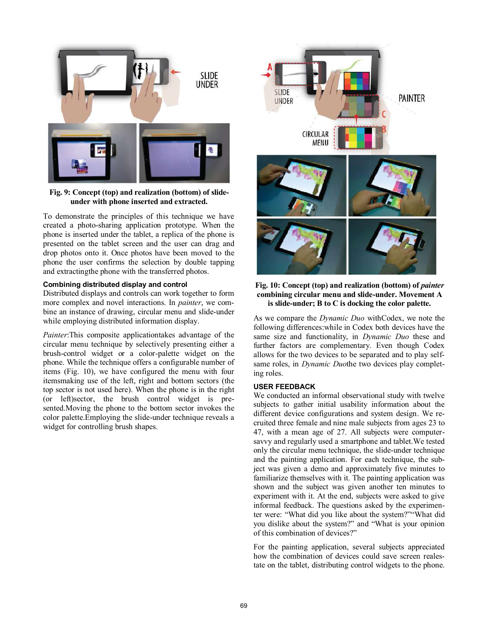

## **Fig. 9: Concept (top) and realization (bottom) of slideunder with phone inserted and extracted.**

To demonstrate the principles of this technique we have created a photo-sharing application prototype. When the phone is inserted under the tablet, a replica of the phone is presented on the tablet screen and the user can drag and drop photos onto it. Once photos have been moved to the phone the user confirms the selection by double tapping and extractingthe phone with the transferred photos.

## **Combining distributed display and control**

Distributed displays and controls can work together to form more complex and novel interactions. In *painter*, we combine an instance of drawing, circular menu and slide-under while employing distributed information display.

*Painter*:This composite applicationtakes advantage of the circular menu technique by selectively presenting either a brush-control widget or a color-palette widget on the phone. While the technique offers a configurable number of items (Fig. 10), we have configured the menu with four itemsmaking use of the left, right and bottom sectors (the top sector is not used here). When the phone is in the right (or left)sector, the brush control widget is presented.Moving the phone to the bottom sector invokes the color palette.Employing the slide-under technique reveals a widget for controlling brush shapes.



**Fig. 10: Concept (top) and realization (bottom) of** *painter* **combining circular menu and slide-under. Movement A is slide-under; B to C is docking the color palette.** 

As we compare the *Dynamic Duo* withCodex, we note the following differences:while in Codex both devices have the same size and functionality, in *Dynamic Duo* these and further factors are complementary. Even though Codex allows for the two devices to be separated and to play selfsame roles, in *Dynamic Duo*the two devices play completing roles.

## **USER FEEDBACK**

We conducted an informal observational study with twelve subjects to gather initial usability information about the different device configurations and system design. We recruited three female and nine male subjects from ages 23 to 47, with a mean age of 27. All subjects were computersavvy and regularly used a smartphone and tablet.We tested only the circular menu technique, the slide-under technique and the painting application. For each technique, the subject was given a demo and approximately five minutes to familiarize themselves with it. The painting application was shown and the subject was given another ten minutes to experiment with it. At the end, subjects were asked to give informal feedback. The questions asked by the experimenter were: "What did you like about the system?""What did you dislike about the system?" and "What is your opinion of this combination of devices?"

For the painting application, several subjects appreciated how the combination of devices could save screen realestate on the tablet, distributing control widgets to the phone.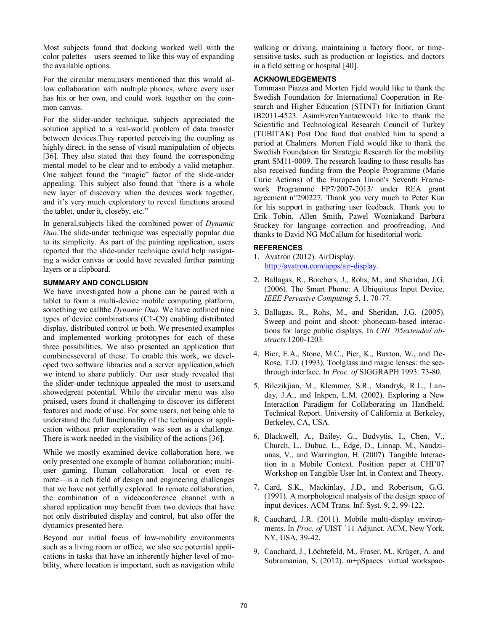Most subjects found that docking worked well with the color palettes—users seemed to like this way of expanding the available options.

For the circular menu,users mentioned that this would allow collaboration with multiple phones, where every user has his or her own, and could work together on the common canvas.

For the slider-under technique, subjects appreciated the solution applied to a real-world problem of data transfer between devices.They reported perceiving the coupling as highly direct, in the sense of visual manipulation of objects [36]. They also stated that they found the corresponding mental model to be clear and to embody a valid metaphor. One subject found the "magic" factor of the slide-under appealing. This subject also found that "there is a whole new layer of discovery when the devices work together, and it's very much exploratory to reveal functions around the tablet, under it, closeby, etc."

In general,subjects liked the combined power of *Dynamic Duo*.The slide-under technique was especially popular due to its simplicity. As part of the painting application, users reported that the slide-under technique could help navigating a wider canvas or could have revealed further painting layers or a clipboard.

# **SUMMARY AND CONCLUSION**

We have investigated how a phone can be paired with a tablet to form a multi-device mobile computing platform, something we callthe *Dynamic Duo*. We have outlined nine types of device combinations (C1-C9) enabling distributed display, distributed control or both. We presented examples and implemented working prototypes for each of these three possibilities. We also presented an application that combinesseveral of these. To enable this work, we developed two software libraries and a server application,which we intend to share publicly. Our user study revealed that the slider-under technique appealed the most to users,and showedgreat potential. While the circular menu was also praised, users found it challenging to discover its different features and mode of use. For some users, not being able to understand the full functionality of the techniques or application without prior exploration was seen as a challenge. There is work needed in the visibility of the actions [36].

While we mostly examined device collaboration here, we only presented one example of human collaboration; multiuser gaming. Human collaboration—local or even remote—is a rich field of design and engineering challenges that we have not yetfully explored. In remote collaboration, the combination of a videoconference channel with a shared application may benefit from two devices that have not only distributed display and control, but also offer the dynamics presented here.

Beyond our initial focus of low-mobility environments such as a living room or office, we also see potential applications in tasks that have an inherently higher level of mobility, where location is important, such as navigation while

walking or driving, maintaining a factory floor, or timesensitive tasks, such as production or logistics, and doctors in a field setting or hospital [40].

## **ACKNOWLEDGEMENTS**

Tommaso Piazza and Morten Fjeld would like to thank the Swedish Foundation for International Cooperation in Research and Higher Education (STINT) for Initiation Grant IB2011-4523. AsimEvrenYantacwould like to thank the Scientific and Technological Research Council of Turkey (TUBITAK) Post Doc fund that enabled him to spend a period at Chalmers. Morten Fjeld would like to thank the Swedish Foundation for Strategic Research for the mobility grant SM11-0009. The research leading to these results has also received funding from the People Programme (Marie Curie Actions) of the European Union's Seventh Framework Programme FP7/2007-2013/ under REA grant agreement n°290227. Thank you very much to Peter Kun for his support in gathering user feedback. Thank you to Erik Tobin, Allen Smith, Pawel Wozniakand Barbara Stuckey for language correction and proofreading. And thanks to David NG McCallum for hiseditorial work.

## **REFERENCES**

- 1. Avatron (2012). AirDisplay. [http://avatron.com/apps/air-display.](http://avatron.com/apps/air-display)
- 2. Ballagas, R., Borchers, J., Rohs, M., and Sheridan, J.G. (2006). The Smart Phone: A Ubiquitous Input Device. *IEEE Pervasive Computing* 5, 1. 70-77.
- 3. Ballagas, R., Rohs, M., and Sheridan, J.G. (2005). Sweep and point and shoot: phonecam-based interactions for large public displays. In *CHI '05extended abstracts*.1200-1203.
- 4. Bier, E.A., Stone, M.C., Pier, K., Buxton, W., and De-Rose, T.D. (1993). Toolglass and magic lenses: the seethrough interface. In *Proc. of* SIGGRAPH 1993. 73-80.
- 5. Bilezikjian, M., Klemmer, S.R., Mandryk, R.L., Landay, J.A., and Inkpen, L.M. (2002). Exploring a New Interaction Paradigm for Collaborating on Handheld. Technical Report. University of California at Berkeley, Berkeley, CA, USA.
- 6. Blackwell, A., Bailey, G., Budvytis, I., Chen, V., Church, L., Dubuc, L., Edge, D., Linnap, M., Naudziunas, V., and Warrington, H. (2007). Tangible Interaction in a Mobile Context. Position paper at CHI'07 Workshop on Tangible User Int. in Context and Theory.
- 7. Card, S.K., Mackinlay, J.D., and Robertson, G.G. (1991). A morphological analysis of the design space of input devices. ACM Trans. Inf. Syst. 9, 2, 99-122.
- 8. Cauchard, J.R. (2011). Mobile multi-display environments. In *Proc. of* UIST '11 Adjunct*.* ACM, New York, NY, USA, 39-42.
- 9. Cauchard, J., Löchtefeld, M., Fraser, M., Krüger, A. and Subramanian, S. (2012). m+pSpaces: virtual workspac-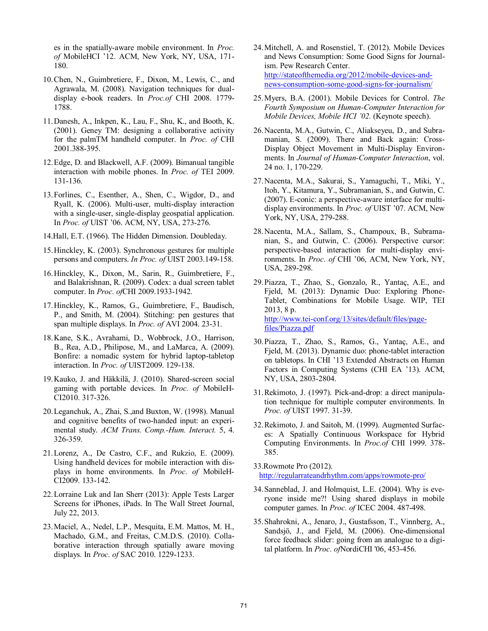es in the spatially-aware mobile environment. In *Proc. of* MobileHCI '12. ACM, New York, NY, USA, 171- 180.

- 10.Chen, N., Guimbretiere, F., Dixon, M., Lewis, C., and Agrawala, M. (2008). Navigation techniques for dualdisplay e-book readers. In *Proc.of* CHI 2008. 1779- 1788.
- 11.Danesh, A., Inkpen, K., Lau, F., Shu, K., and Booth, K. (2001). Geney TM: designing a collaborative activity for the palmTM handheld computer. In *Proc. of* CHI 2001.388-395.
- 12.Edge, D. and Blackwell, A.F. (2009). Bimanual tangible interaction with mobile phones. In *Proc. of* TEI 2009. 131-136.
- 13.Forlines, C., Esenther, A., Shen, C., Wigdor, D., and Ryall, K. (2006). Multi-user, multi-display interaction with a single-user, single-display geospatial application. In *Proc. of* UIST '06. ACM, NY, USA, 273-276.
- 14.Hall, E.T. (1966). The Hidden Dimension. Doubleday.
- 15.Hinckley, K. (2003). Synchronous gestures for multiple persons and computers. *In Proc. of* UIST 2003.149-158.
- 16.Hinckley, K., Dixon, M., Sarin, R., Guimbretiere, F., and Balakrishnan, R. (2009). Codex: a dual screen tablet computer. In *Proc. of*CHI 2009.1933-1942.
- 17.Hinckley, K., Ramos, G., Guimbretiere, F., Baudisch, P., and Smith, M. (2004). Stitching: pen gestures that span multiple displays. In *Proc. of* AVI 2004. 23-31.
- 18.Kane, S.K., Avrahami, D., Wobbrock, J.O., Harrison, B., Rea, A.D., Philipose, M., and LaMarca, A. (2009). Bonfire: a nomadic system for hybrid laptop-tabletop interaction. In *Proc. of* UIST2009. 129-138.
- 19.Kauko, J. and Häkkilä, J. (2010). Shared-screen social gaming with portable devices. In *Proc. of* MobileH-CI2010. 317-326.
- 20.Leganchuk, A., Zhai, S.,and Buxton, W. (1998). Manual and cognitive benefits of two-handed input: an experimental study. *ACM Trans. Comp.-Hum. Interact.* 5, 4. 326-359.
- 21.Lorenz, A., De Castro, C.F., and Rukzio, E. (2009). Using handheld devices for mobile interaction with displays in home environments. In *Proc. of* MobileH-CI2009. 133-142.
- 22.Lorraine Luk and Ian Sherr (2013): Apple Tests Larger Screens for iPhones, iPads. In The Wall Street Journal, July 22, 2013.
- 23.Maciel, A., Nedel, L.P., Mesquita, E.M. Mattos, M. H., Machado, G.M., and Freitas, C.M.D.S. (2010). Collaborative interaction through spatially aware moving displays. In *Proc. of* SAC 2010. 1229-1233.
- 24.Mitchell, A. and Rosenstiel, T. (2012). Mobile Devices and News Consumption: Some Good Signs for Journalism. Pew Research Center. [http://stateofthemedia.org/2012/mobile-devices-and](http://stateofthemedia.org/2012/mobile-devices-and-news-consumption-some-good-signs-for-journalism/)[news-consumption-some-good-signs-for-journalism/](http://stateofthemedia.org/2012/mobile-devices-and-news-consumption-some-good-signs-for-journalism/)
- 25.Myers, B.A. (2001). Mobile Devices for Control. *The Fourth Symposium on Human-Computer Interaction for Mobile Devices, Mobile HCI '02.* (Keynote speech).
- 26.Nacenta, M.A., Gutwin, C., Aliakseyeu, D., and Subramanian, S. (2009). There and Back again: Cross-Display Object Movement in Multi-Display Environments. In *Journal of Human-Computer Interaction*, vol. 24 no. 1, 170-229.
- 27.Nacenta, M.A., Sakurai, S., Yamaguchi, T., Miki, Y., Itoh, Y., Kitamura, Y., Subramanian, S., and Gutwin, C. (2007). E-conic: a perspective-aware interface for multidisplay environments. In *Proc. of* UIST '07. ACM, New York, NY, USA, 279-288.
- 28.Nacenta, M.A., Sallam, S., Champoux, B., Subramanian, S., and Gutwin, C. (2006). Perspective cursor: perspective-based interaction for multi-display environments. In *Proc. of* CHI '06, ACM, New York, NY, USA, 289-298.
- 29.Piazza, T., Zhao, S., Gonzalo, R., Yantaç, A.E., and Fjeld, M. (2013): Dynamic Duo: Exploring Phone-Tablet, Combinations for Mobile Usage. WIP, TEI 2013, 8 p. [http://www.tei-conf.org/13/sites/default/files/page](http://www.tei-conf.org/13/sites/default/files/page-files/Piazza.pdf)[files/Piazza.pdf](http://www.tei-conf.org/13/sites/default/files/page-files/Piazza.pdf)
- 30.Piazza, T., Zhao, S., Ramos, G., Yantaç, A.E., and Fjeld, M. (2013). Dynamic duo: phone-tablet interaction on tabletops. In CHI '13 Extended Abstracts on Human Factors in Computing Systems (CHI EA '13). ACM, NY, USA, 2803-2804.
- 31.Rekimoto, J. (1997). Pick-and-drop: a direct manipulation technique for multiple computer environments. In *Proc. of* UIST 1997. 31-39.
- 32.Rekimoto, J. and Saitoh, M. (1999). Augmented Surfaces: A Spatially Continuous Workspace for Hybrid Computing Environments. In *Proc.of* CHI 1999. 378- 385.
- 33.Rowmote Pro (2012). <http://regularrateandrhythm.com/apps/rowmote-pro/>
- 34.Sanneblad, J. and Holmquist, L.E. (2004). Why is everyone inside me?! Using shared displays in mobile computer games. In *Proc. of* ICEC 2004. 487-498.
- 35.Shahrokni, A., Jenaro, J., Gustafsson, T., Vinnberg, A., Sandsjö, J., and Fjeld, M. (2006). One-dimensional force feedback slider: going from an analogue to a digital platform. In *Proc. of*NordiCHI '06, 453-456.